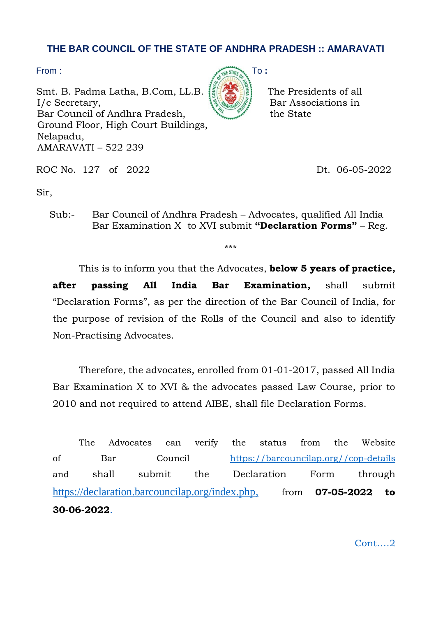## **THE BAR COUNCIL OF THE STATE OF ANDHRA PRADESH :: AMARAVATI**

Smt. B. Padma Latha, B.Com, LL.B.  $\left| \frac{1}{2} \right| \left| \frac{1}{2} \right|$  The Presidents of all  $I/c$  Secretary,  $\{S_{\text{Wann}}\}_{\text{S}}\}$  Bar Associations in Bar Council of Andhra Pradesh, the State Ground Floor, High Court Buildings, Nelapadu, AMARAVATI – 522 239



ROC No. 127 of 2022 Dt. 06-05-2022

Sir,

Sub:- Bar Council of Andhra Pradesh – Advocates, qualified All India Bar Examination X to XVI submit **"Declaration Forms"** – Reg.

\*\*\*

This is to inform you that the Advocates, **below 5 years of practice, after passing All India Bar Examination,** shall submit "Declaration Forms", as per the direction of the Bar Council of India, for the purpose of revision of the Rolls of the Council and also to identify Non-Practising Advocates.

Therefore, the advocates, enrolled from 01-01-2017, passed All India Bar Examination X to XVI & the advocates passed Law Course, prior to 2010 and not required to attend AIBE, shall file Declaration Forms.

The Advocates can verify the status from the Website of Bar Council [https://barcouncilap.org//cop-details](https://barcouncilap.org/cop-details)  and shall submit the Declaration Form through [https://declaration.barcouncilap.org/index.php,](https://declaration.barcouncilap.org/index.php) from **07-05-2022 to 30-06-2022**.

Cont….2